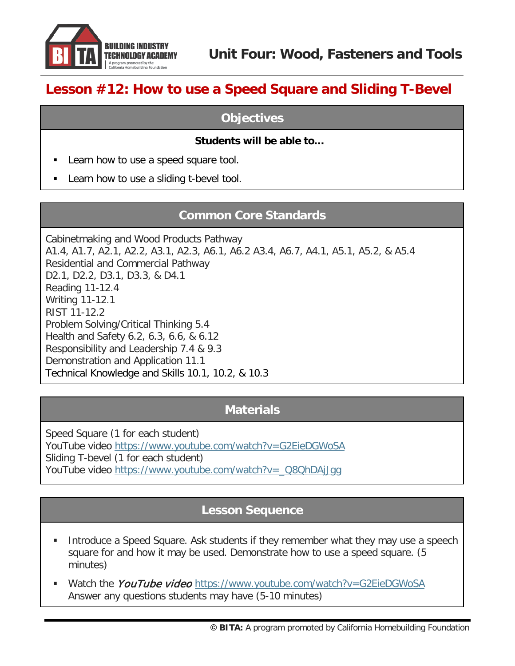

# **Lesson #12: How to use a Speed Square and Sliding T-Bevel**

#### **Objectives**

#### **Students will be able to…**

- Learn how to use a speed square tool.
- Learn how to use a sliding t-bevel tool.

#### **Common Core Standards**

Cabinetmaking and Wood Products Pathway A1.4, A1.7, A2.1, A2.2, A3.1, A2.3, A6.1, A6.2 A3.4, A6.7, A4.1, A5.1, A5.2, & A5.4 Residential and Commercial Pathway D2.1, D2.2, D3.1, D3.3, & D4.1 Reading 11-12.4 Writing 11-12.1 RIST 11-12.2 Problem Solving/Critical Thinking 5.4 Health and Safety 6.2, 6.3, 6.6, & 6.12 Responsibility and Leadership 7.4 & 9.3 Demonstration and Application 11.1 Technical Knowledge and Skills 10.1, 10.2, & 10.3

#### **Materials**

Speed Square (1 for each student) YouTube video<https://www.youtube.com/watch?v=G2EieDGWoSA> Sliding T-bevel (1 for each student) YouTube video [https://www.youtube.com/watch?v=\\_Q8QhDAjJgg](https://www.youtube.com/watch?v=_Q8QhDAjJgg)

### **Lesson Sequence**

- **Introduce a Speed Square. Ask students if they remember what they may use a speech** square for and how it may be used. Demonstrate how to use a speed square. (5 minutes)
- Watch the *YouTube video* <https://www.youtube.com/watch?v=G2EieDGWoSA> Answer any questions students may have (5-10 minutes)